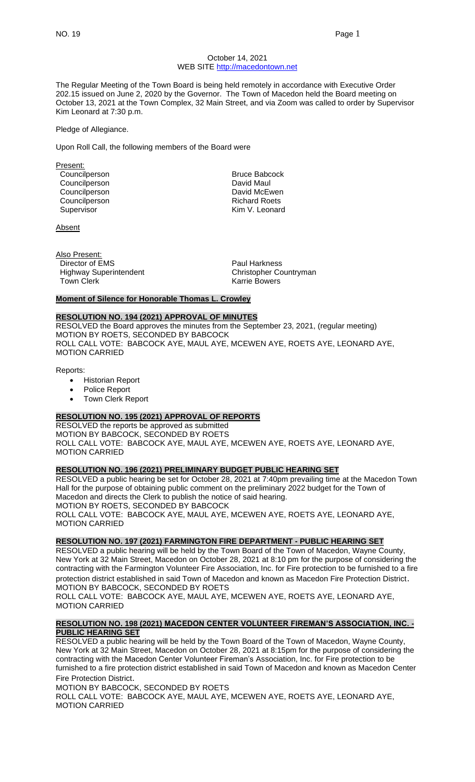### October 14, 2021 WEB SITE [http://macedontown.net](http://macedontown.net/)

The Regular Meeting of the Town Board is being held remotely in accordance with Executive Order 202.15 issued on June 2, 2020 by the Governor. The Town of Macedon held the Board meeting on October 13, 2021 at the Town Complex, 32 Main Street, and via Zoom was called to order by Supervisor Kim Leonard at 7:30 p.m.

### Pledge of Allegiance.

Upon Roll Call, the following members of the Board were

Present: Councilperson **Bruce Babcock** Councilperson **David Maul** Councilperson **David McEwen** Councilperson **Richard Roets**<br>Supervisor **Richard Roets**<br>Kim V. Leonard Supervisor

Absent

Also Present: Director of EMS Paul Harkness Highway Superintendent Christopher Countryman Town Clerk **Karrie Bowers Karrie Bowers** 

### **Moment of Silence for Honorable Thomas L. Crowley**

## **RESOLUTION NO. 194 (2021) APPROVAL OF MINUTES**

RESOLVED the Board approves the minutes from the September 23, 2021, (regular meeting) MOTION BY ROETS, SECONDED BY BABCOCK ROLL CALL VOTE: BABCOCK AYE, MAUL AYE, MCEWEN AYE, ROETS AYE, LEONARD AYE, MOTION CARRIED

Reports:

- Historian Report
- Police Report
- Town Clerk Report

# **RESOLUTION NO. 195 (2021) APPROVAL OF REPORTS**

RESOLVED the reports be approved as submitted MOTION BY BABCOCK, SECONDED BY ROETS ROLL CALL VOTE: BABCOCK AYE, MAUL AYE, MCEWEN AYE, ROETS AYE, LEONARD AYE, MOTION CARRIED

# **RESOLUTION NO. 196 (2021) PRELIMINARY BUDGET PUBLIC HEARING SET**

RESOLVED a public hearing be set for October 28, 2021 at 7:40pm prevailing time at the Macedon Town Hall for the purpose of obtaining public comment on the preliminary 2022 budget for the Town of Macedon and directs the Clerk to publish the notice of said hearing. MOTION BY ROETS, SECONDED BY BABCOCK ROLL CALL VOTE: BABCOCK AYE, MAUL AYE, MCEWEN AYE, ROETS AYE, LEONARD AYE,

MOTION CARRIED

# **RESOLUTION NO. 197 (2021) FARMINGTON FIRE DEPARTMENT - PUBLIC HEARING SET**

RESOLVED a public hearing will be held by the Town Board of the Town of Macedon, Wayne County, New York at 32 Main Street, Macedon on October 28, 2021 at 8:10 pm for the purpose of considering the contracting with the Farmington Volunteer Fire Association, Inc. for Fire protection to be furnished to a fire protection district established in said Town of Macedon and known as Macedon Fire Protection District. MOTION BY BABCOCK, SECONDED BY ROETS

ROLL CALL VOTE: BABCOCK AYE, MAUL AYE, MCEWEN AYE, ROETS AYE, LEONARD AYE, MOTION CARRIED

# **RESOLUTION NO. 198 (2021) MACEDON CENTER VOLUNTEER FIREMAN'S ASSOCIATION, INC. - PUBLIC HEARING SET**

RESOLVED a public hearing will be held by the Town Board of the Town of Macedon, Wayne County, New York at 32 Main Street, Macedon on October 28, 2021 at 8:15pm for the purpose of considering the contracting with the Macedon Center Volunteer Fireman's Association, Inc. for Fire protection to be furnished to a fire protection district established in said Town of Macedon and known as Macedon Center Fire Protection District.

MOTION BY BABCOCK, SECONDED BY ROETS ROLL CALL VOTE: BABCOCK AYE, MAUL AYE, MCEWEN AYE, ROETS AYE, LEONARD AYE, MOTION CARRIED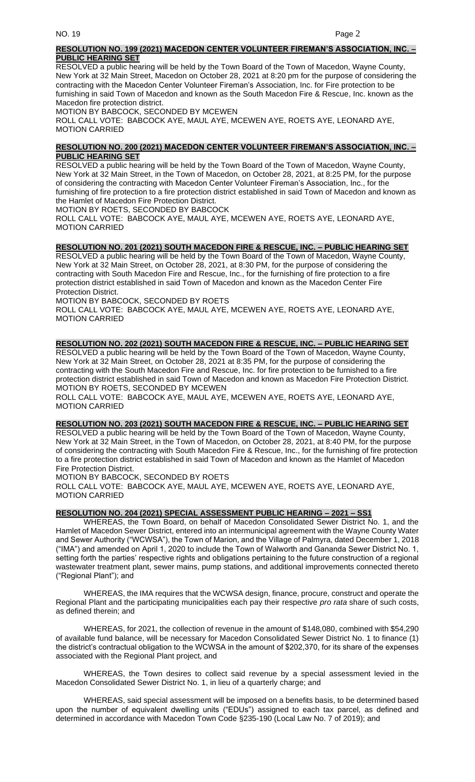# **RESOLUTION NO. 199 (2021) MACEDON CENTER VOLUNTEER FIREMAN'S ASSOCIATION, INC. – PUBLIC HEARING SET**

RESOLVED a public hearing will be held by the Town Board of the Town of Macedon, Wayne County, New York at 32 Main Street, Macedon on October 28, 2021 at 8:20 pm for the purpose of considering the contracting with the Macedon Center Volunteer Fireman's Association, Inc. for Fire protection to be furnishing in said Town of Macedon and known as the South Macedon Fire & Rescue, Inc. known as the Macedon fire protection district.

MOTION BY BABCOCK, SECONDED BY MCEWEN

ROLL CALL VOTE: BABCOCK AYE, MAUL AYE, MCEWEN AYE, ROETS AYE, LEONARD AYE, MOTION CARRIED

# **RESOLUTION NO. 200 (2021) MACEDON CENTER VOLUNTEER FIREMAN'S ASSOCIATION, INC. – PUBLIC HEARING SET**

RESOLVED a public hearing will be held by the Town Board of the Town of Macedon, Wayne County, New York at 32 Main Street, in the Town of Macedon, on October 28, 2021, at 8:25 PM, for the purpose of considering the contracting with Macedon Center Volunteer Fireman's Association, Inc., for the furnishing of fire protection to a fire protection district established in said Town of Macedon and known as the Hamlet of Macedon Fire Protection District.

MOTION BY ROETS, SECONDED BY BABCOCK

ROLL CALL VOTE: BABCOCK AYE, MAUL AYE, MCEWEN AYE, ROETS AYE, LEONARD AYE, MOTION CARRIED

# **RESOLUTION NO. 201 (2021) SOUTH MACEDON FIRE & RESCUE, INC. – PUBLIC HEARING SET**

RESOLVED a public hearing will be held by the Town Board of the Town of Macedon, Wayne County, New York at 32 Main Street, on October 28, 2021, at 8:30 PM, for the purpose of considering the contracting with South Macedon Fire and Rescue, Inc., for the furnishing of fire protection to a fire protection district established in said Town of Macedon and known as the Macedon Center Fire Protection District.

MOTION BY BABCOCK, SECONDED BY ROETS

ROLL CALL VOTE: BABCOCK AYE, MAUL AYE, MCEWEN AYE, ROETS AYE, LEONARD AYE, MOTION CARRIED

# **RESOLUTION NO. 202 (2021) SOUTH MACEDON FIRE & RESCUE, INC. – PUBLIC HEARING SET**

RESOLVED a public hearing will be held by the Town Board of the Town of Macedon, Wayne County, New York at 32 Main Street, on October 28, 2021 at 8:35 PM, for the purpose of considering the contracting with the South Macedon Fire and Rescue, Inc. for fire protection to be furnished to a fire protection district established in said Town of Macedon and known as Macedon Fire Protection District. MOTION BY ROETS, SECONDED BY MCEWEN

ROLL CALL VOTE: BABCOCK AYE, MAUL AYE, MCEWEN AYE, ROETS AYE, LEONARD AYE, MOTION CARRIED

### **RESOLUTION NO. 203 (2021) SOUTH MACEDON FIRE & RESCUE, INC. – PUBLIC HEARING SET**

RESOLVED a public hearing will be held by the Town Board of the Town of Macedon, Wayne County, New York at 32 Main Street, in the Town of Macedon, on October 28, 2021, at 8:40 PM, for the purpose of considering the contracting with South Macedon Fire & Rescue, Inc., for the furnishing of fire protection to a fire protection district established in said Town of Macedon and known as the Hamlet of Macedon Fire Protection District.

MOTION BY BABCOCK, SECONDED BY ROETS ROLL CALL VOTE: BABCOCK AYE, MAUL AYE, MCEWEN AYE, ROETS AYE, LEONARD AYE, MOTION CARRIED

### **RESOLUTION NO. 204 (2021) SPECIAL ASSESSMENT PUBLIC HEARING – 2021 – SS1**

WHEREAS, the Town Board, on behalf of Macedon Consolidated Sewer District No. 1, and the Hamlet of Macedon Sewer District, entered into an intermunicipal agreement with the Wayne County Water and Sewer Authority ("WCWSA"), the Town of Marion, and the Village of Palmyra, dated December 1, 2018 ("IMA") and amended on April 1, 2020 to include the Town of Walworth and Gananda Sewer District No. 1, setting forth the parties' respective rights and obligations pertaining to the future construction of a regional wastewater treatment plant, sewer mains, pump stations, and additional improvements connected thereto ("Regional Plant"); and

WHEREAS, the IMA requires that the WCWSA design, finance, procure, construct and operate the Regional Plant and the participating municipalities each pay their respective *pro rata* share of such costs, as defined therein; and

WHEREAS, for 2021, the collection of revenue in the amount of \$148,080, combined with \$54,290 of available fund balance, will be necessary for Macedon Consolidated Sewer District No. 1 to finance (1) the district's contractual obligation to the WCWSA in the amount of \$202,370, for its share of the expenses associated with the Regional Plant project, and

WHEREAS, the Town desires to collect said revenue by a special assessment levied in the Macedon Consolidated Sewer District No. 1, in lieu of a quarterly charge; and

WHEREAS, said special assessment will be imposed on a benefits basis, to be determined based upon the number of equivalent dwelling units ("EDUs") assigned to each tax parcel, as defined and determined in accordance with Macedon Town Code §235-190 (Local Law No. 7 of 2019); and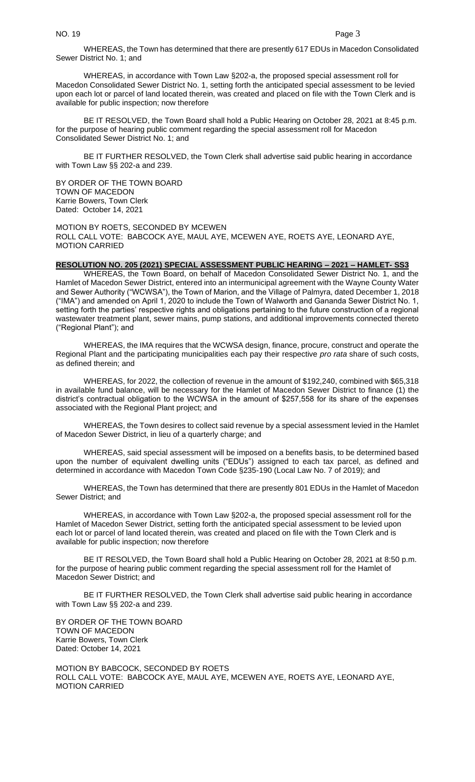WHEREAS, the Town has determined that there are presently 617 EDUs in Macedon Consolidated Sewer District No. 1; and

WHEREAS, in accordance with Town Law §202-a, the proposed special assessment roll for Macedon Consolidated Sewer District No. 1, setting forth the anticipated special assessment to be levied upon each lot or parcel of land located therein, was created and placed on file with the Town Clerk and is available for public inspection; now therefore

BE IT RESOLVED, the Town Board shall hold a Public Hearing on October 28, 2021 at 8:45 p.m. for the purpose of hearing public comment regarding the special assessment roll for Macedon Consolidated Sewer District No. 1; and

BE IT FURTHER RESOLVED, the Town Clerk shall advertise said public hearing in accordance with Town Law §§ 202-a and 239.

BY ORDER OF THE TOWN BOARD TOWN OF MACEDON Karrie Bowers, Town Clerk Dated: October 14, 2021

MOTION BY ROETS, SECONDED BY MCEWEN ROLL CALL VOTE: BABCOCK AYE, MAUL AYE, MCEWEN AYE, ROETS AYE, LEONARD AYE, MOTION CARRIED

### **RESOLUTION NO. 205 (2021) SPECIAL ASSESSMENT PUBLIC HEARING – 2021 – HAMLET- SS3**

WHEREAS, the Town Board, on behalf of Macedon Consolidated Sewer District No. 1, and the Hamlet of Macedon Sewer District, entered into an intermunicipal agreement with the Wayne County Water and Sewer Authority ("WCWSA"), the Town of Marion, and the Village of Palmyra, dated December 1, 2018 ("IMA") and amended on April 1, 2020 to include the Town of Walworth and Gananda Sewer District No. 1, setting forth the parties' respective rights and obligations pertaining to the future construction of a regional wastewater treatment plant, sewer mains, pump stations, and additional improvements connected thereto ("Regional Plant"); and

WHEREAS, the IMA requires that the WCWSA design, finance, procure, construct and operate the Regional Plant and the participating municipalities each pay their respective *pro rata* share of such costs, as defined therein; and

WHEREAS, for 2022, the collection of revenue in the amount of \$192,240, combined with \$65,318 in available fund balance, will be necessary for the Hamlet of Macedon Sewer District to finance (1) the district's contractual obligation to the WCWSA in the amount of \$257,558 for its share of the expenses associated with the Regional Plant project; and

WHEREAS, the Town desires to collect said revenue by a special assessment levied in the Hamlet of Macedon Sewer District, in lieu of a quarterly charge; and

WHEREAS, said special assessment will be imposed on a benefits basis, to be determined based upon the number of equivalent dwelling units ("EDUs") assigned to each tax parcel, as defined and determined in accordance with Macedon Town Code §235-190 (Local Law No. 7 of 2019); and

WHEREAS, the Town has determined that there are presently 801 EDUs in the Hamlet of Macedon Sewer District; and

WHEREAS, in accordance with Town Law §202-a, the proposed special assessment roll for the Hamlet of Macedon Sewer District, setting forth the anticipated special assessment to be levied upon each lot or parcel of land located therein, was created and placed on file with the Town Clerk and is available for public inspection; now therefore

BE IT RESOLVED, the Town Board shall hold a Public Hearing on October 28, 2021 at 8:50 p.m. for the purpose of hearing public comment regarding the special assessment roll for the Hamlet of Macedon Sewer District; and

BE IT FURTHER RESOLVED, the Town Clerk shall advertise said public hearing in accordance with Town Law §§ 202-a and 239.

BY ORDER OF THE TOWN BOARD TOWN OF MACEDON Karrie Bowers, Town Clerk Dated: October 14, 2021

MOTION BY BABCOCK, SECONDED BY ROETS ROLL CALL VOTE: BABCOCK AYE, MAUL AYE, MCEWEN AYE, ROETS AYE, LEONARD AYE, MOTION CARRIED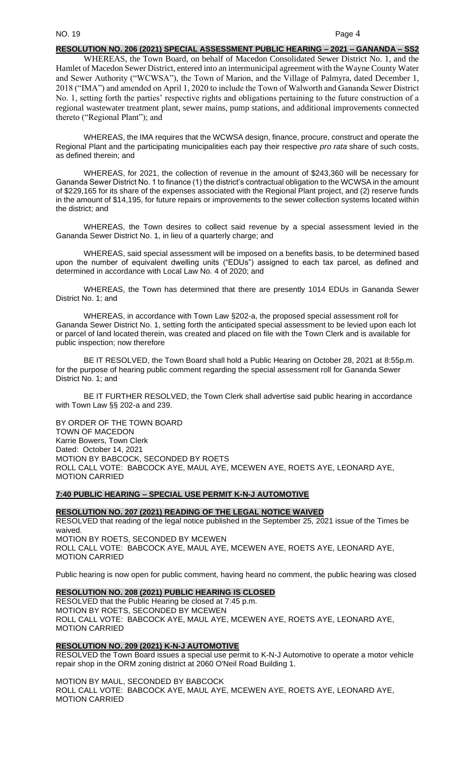### **RESOLUTION NO. 206 (2021) SPECIAL ASSESSMENT PUBLIC HEARING – 2021 – GANANDA – SS2**

WHEREAS, the Town Board, on behalf of Macedon Consolidated Sewer District No. 1, and the Hamlet of Macedon Sewer District, entered into an intermunicipal agreement with the Wayne County Water and Sewer Authority ("WCWSA"), the Town of Marion, and the Village of Palmyra, dated December 1, 2018 ("IMA") and amended on April 1, 2020 to include the Town of Walworth and Gananda Sewer District No. 1, setting forth the parties' respective rights and obligations pertaining to the future construction of a regional wastewater treatment plant, sewer mains, pump stations, and additional improvements connected thereto ("Regional Plant"); and

WHEREAS, the IMA requires that the WCWSA design, finance, procure, construct and operate the Regional Plant and the participating municipalities each pay their respective *pro rata* share of such costs, as defined therein; and

WHEREAS, for 2021, the collection of revenue in the amount of \$243,360 will be necessary for Gananda Sewer District No. 1 to finance (1) the district's contractual obligation to the WCWSA in the amount of \$229,165 for its share of the expenses associated with the Regional Plant project, and (2) reserve funds in the amount of \$14,195, for future repairs or improvements to the sewer collection systems located within the district; and

WHEREAS, the Town desires to collect said revenue by a special assessment levied in the Gananda Sewer District No. 1, in lieu of a quarterly charge; and

WHEREAS, said special assessment will be imposed on a benefits basis, to be determined based upon the number of equivalent dwelling units ("EDUs") assigned to each tax parcel, as defined and determined in accordance with Local Law No. 4 of 2020; and

WHEREAS, the Town has determined that there are presently 1014 EDUs in Gananda Sewer District No. 1; and

WHEREAS, in accordance with Town Law §202-a, the proposed special assessment roll for Gananda Sewer District No. 1, setting forth the anticipated special assessment to be levied upon each lot or parcel of land located therein, was created and placed on file with the Town Clerk and is available for public inspection; now therefore

BE IT RESOLVED, the Town Board shall hold a Public Hearing on October 28, 2021 at 8:55p.m. for the purpose of hearing public comment regarding the special assessment roll for Gananda Sewer District No. 1; and

BE IT FURTHER RESOLVED, the Town Clerk shall advertise said public hearing in accordance with Town Law §§ 202-a and 239.

BY ORDER OF THE TOWN BOARD TOWN OF MACEDON Karrie Bowers, Town Clerk Dated: October 14, 2021 MOTION BY BABCOCK, SECONDED BY ROETS ROLL CALL VOTE: BABCOCK AYE, MAUL AYE, MCEWEN AYE, ROETS AYE, LEONARD AYE, MOTION CARRIED

### **7:40 PUBLIC HEARING – SPECIAL USE PERMIT K-N-J AUTOMOTIVE**

**RESOLUTION NO. 207 (2021) READING OF THE LEGAL NOTICE WAIVED** RESOLVED that reading of the legal notice published in the September 25, 2021 issue of the Times be waived. MOTION BY ROETS, SECONDED BY MCEWEN ROLL CALL VOTE: BABCOCK AYE, MAUL AYE, MCEWEN AYE, ROETS AYE, LEONARD AYE, MOTION CARRIED

Public hearing is now open for public comment, having heard no comment, the public hearing was closed

### **RESOLUTION NO. 208 (2021) PUBLIC HEARING IS CLOSED**

RESOLVED that the Public Hearing be closed at 7:45 p.m. MOTION BY ROETS, SECONDED BY MCEWEN ROLL CALL VOTE: BABCOCK AYE, MAUL AYE, MCEWEN AYE, ROETS AYE, LEONARD AYE, MOTION CARRIED

### **RESOLUTION NO. 209 (2021) K-N-J AUTOMOTIVE**

RESOLVED the Town Board issues a special use permit to K-N-J Automotive to operate a motor vehicle repair shop in the ORM zoning district at 2060 O'Neil Road Building 1.

MOTION BY MAUL, SECONDED BY BABCOCK ROLL CALL VOTE: BABCOCK AYE, MAUL AYE, MCEWEN AYE, ROETS AYE, LEONARD AYE, MOTION CARRIED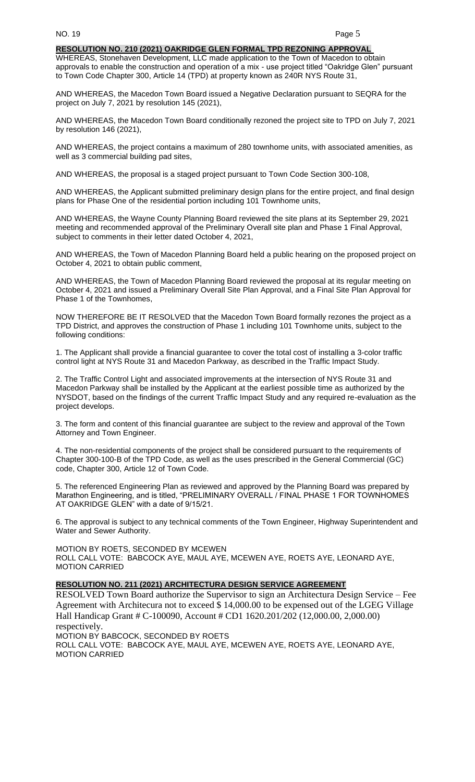### **RESOLUTION NO. 210 (2021) OAKRIDGE GLEN FORMAL TPD REZONING APPROVAL**

WHEREAS, Stonehaven Development, LLC made application to the Town of Macedon to obtain approvals to enable the construction and operation of a mix - use project titled "Oakridge Glen" pursuant to Town Code Chapter 300, Article 14 (TPD) at property known as 240R NYS Route 31,

AND WHEREAS, the Macedon Town Board issued a Negative Declaration pursuant to SEQRA for the project on July 7, 2021 by resolution 145 (2021),

AND WHEREAS, the Macedon Town Board conditionally rezoned the project site to TPD on July 7, 2021 by resolution 146 (2021),

AND WHEREAS, the project contains a maximum of 280 townhome units, with associated amenities, as well as 3 commercial building pad sites,

AND WHEREAS, the proposal is a staged project pursuant to Town Code Section 300-108,

AND WHEREAS, the Applicant submitted preliminary design plans for the entire project, and final design plans for Phase One of the residential portion including 101 Townhome units,

AND WHEREAS, the Wayne County Planning Board reviewed the site plans at its September 29, 2021 meeting and recommended approval of the Preliminary Overall site plan and Phase 1 Final Approval, subject to comments in their letter dated October 4, 2021,

AND WHEREAS, the Town of Macedon Planning Board held a public hearing on the proposed project on October 4, 2021 to obtain public comment,

AND WHEREAS, the Town of Macedon Planning Board reviewed the proposal at its regular meeting on October 4, 2021 and issued a Preliminary Overall Site Plan Approval, and a Final Site Plan Approval for Phase 1 of the Townhomes,

NOW THEREFORE BE IT RESOLVED that the Macedon Town Board formally rezones the project as a TPD District, and approves the construction of Phase 1 including 101 Townhome units, subject to the following conditions:

1. The Applicant shall provide a financial guarantee to cover the total cost of installing a 3-color traffic control light at NYS Route 31 and Macedon Parkway, as described in the Traffic Impact Study.

2. The Traffic Control Light and associated improvements at the intersection of NYS Route 31 and Macedon Parkway shall be installed by the Applicant at the earliest possible time as authorized by the NYSDOT, based on the findings of the current Traffic Impact Study and any required re-evaluation as the project develops.

3. The form and content of this financial guarantee are subject to the review and approval of the Town Attorney and Town Engineer.

4. The non-residential components of the project shall be considered pursuant to the requirements of Chapter 300-100-B of the TPD Code, as well as the uses prescribed in the General Commercial (GC) code, Chapter 300, Article 12 of Town Code.

5. The referenced Engineering Plan as reviewed and approved by the Planning Board was prepared by Marathon Engineering, and is titled, "PRELIMINARY OVERALL / FINAL PHASE 1 FOR TOWNHOMES AT OAKRIDGE GLEN" with a date of 9/15/21.

6. The approval is subject to any technical comments of the Town Engineer, Highway Superintendent and Water and Sewer Authority.

MOTION BY ROETS, SECONDED BY MCEWEN ROLL CALL VOTE: BABCOCK AYE, MAUL AYE, MCEWEN AYE, ROETS AYE, LEONARD AYE, MOTION CARRIED

### **RESOLUTION NO. 211 (2021) ARCHITECTURA DESIGN SERVICE AGREEMENT**

RESOLVED Town Board authorize the Supervisor to sign an Architectura Design Service – Fee Agreement with Architecura not to exceed \$ 14,000.00 to be expensed out of the LGEG Village Hall Handicap Grant # C-100090, Account # CD1 1620.201/202 (12,000.00, 2,000.00) respectively.

MOTION BY BABCOCK, SECONDED BY ROETS ROLL CALL VOTE: BABCOCK AYE, MAUL AYE, MCEWEN AYE, ROETS AYE, LEONARD AYE, MOTION CARRIED